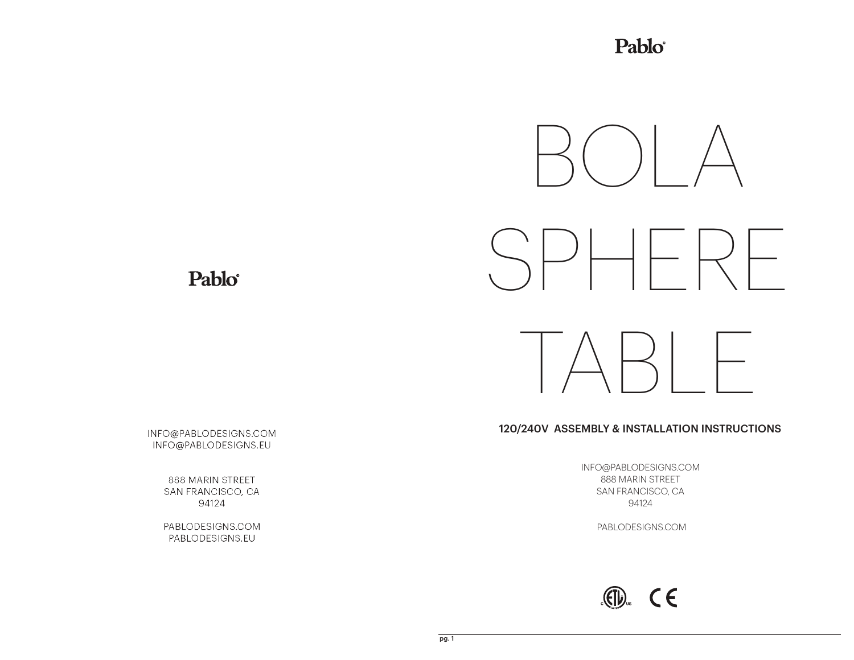Pablo®



120/240V ASSEMBLY & INSTALLATION INSTRUCTIONS

INFO@PABLODESIGNS.COM 888 MARIN STREET SAN FRANCISCO, CA 94124

PABLODESIGNS.COM



Pablo

INFO@PABLODESIGNS.COM INFO@PABLODESIGNS.EU

> 888 MARIN STREET SAN FRANCISCO, CA 94124

> PABLODESIGNS.COM PABLODESIGNS.EU